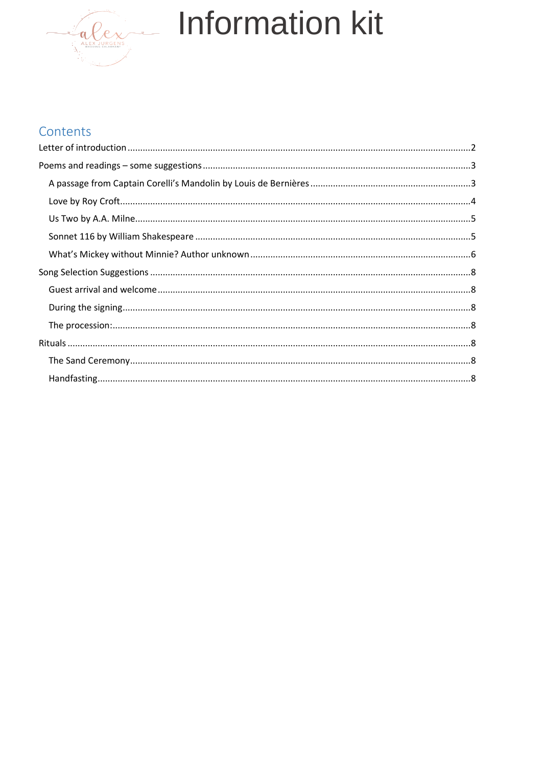

## Contents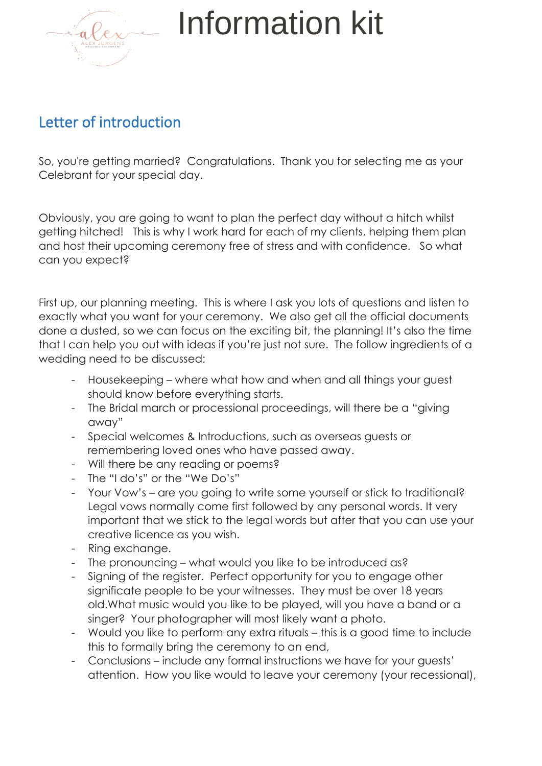

## <span id="page-1-0"></span>Letter of introduction

So, you're getting married? Congratulations. Thank you for selecting me as your Celebrant for your special day.

Obviously, you are going to want to plan the perfect day without a hitch whilst getting hitched! This is why I work hard for each of my clients, helping them plan and host their upcoming ceremony free of stress and with confidence. So what can you expect?

First up, our planning meeting. This is where I ask you lots of questions and listen to exactly what you want for your ceremony. We also get all the official documents done a dusted, so we can focus on the exciting bit, the planning! It's also the time that I can help you out with ideas if you're just not sure. The follow ingredients of a wedding need to be discussed:

- Housekeeping where what how and when and all things your guest should know before everything starts.
- The Bridal march or processional proceedings, will there be a "giving" away"
- Special welcomes & Introductions, such as overseas guests or remembering loved ones who have passed away.
- Will there be any reading or poems?
- The "I do's" or the "We Do's"
- Your Vow's are you going to write some yourself or stick to traditional? Legal vows normally come first followed by any personal words. It very important that we stick to the legal words but after that you can use your creative licence as you wish.
- Ring exchange.
- The pronouncing what would you like to be introduced as?
- Signing of the register. Perfect opportunity for you to engage other significate people to be your witnesses. They must be over 18 years old.What music would you like to be played, will you have a band or a singer? Your photographer will most likely want a photo.
- Would you like to perform any extra rituals this is a good time to include this to formally bring the ceremony to an end,
- Conclusions include any formal instructions we have for your guests' attention. How you like would to leave your ceremony (your recessional),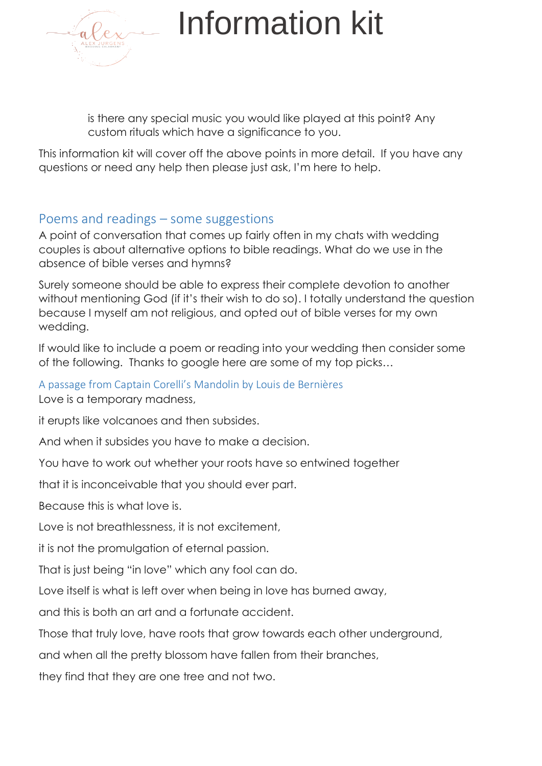

is there any special music you would like played at this point? Any custom rituals which have a significance to you.

This information kit will cover off the above points in more detail. If you have any questions or need any help then please just ask, I'm here to help.

### <span id="page-2-0"></span>Poems and readings – some suggestions

A point of conversation that comes up fairly often in my chats with wedding couples is about alternative options to bible readings. What do we use in the absence of bible verses and hymns?

Surely someone should be able to express their complete devotion to another without mentioning God (if it's their wish to do so). I totally understand the question because I myself am not religious, and opted out of bible verses for my own wedding.

If would like to include a poem or reading into your wedding then consider some of the following. Thanks to google here are some of my top picks…

### <span id="page-2-1"></span>A passage from Captain Corelli's Mandolin by Louis de Bernières

Love is a temporary madness,

it erupts like volcanoes and then subsides.

And when it subsides you have to make a decision.

You have to work out whether your roots have so entwined together

that it is inconceivable that you should ever part.

Because this is what love is.

Love is not breathlessness, it is not excitement,

it is not the promulgation of eternal passion.

That is just being "in love" which any fool can do.

Love itself is what is left over when being in love has burned away,

and this is both an art and a fortunate accident.

Those that truly love, have roots that grow towards each other underground,

and when all the pretty blossom have fallen from their branches,

they find that they are one tree and not two.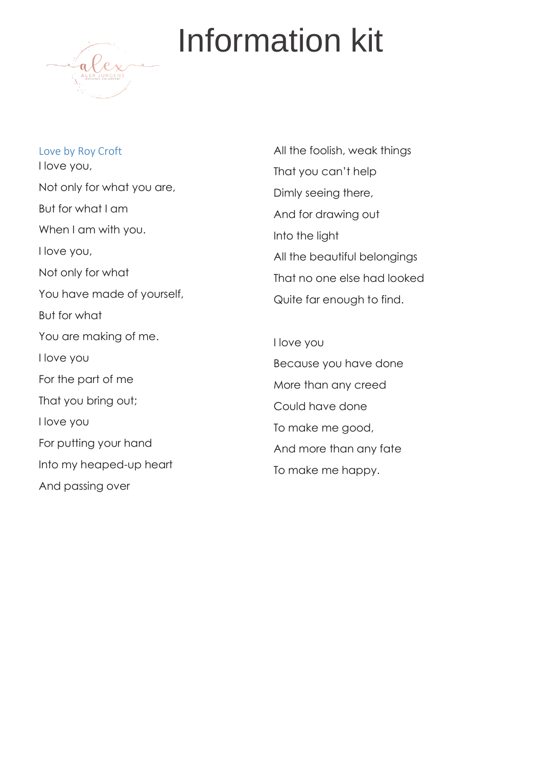

<span id="page-3-0"></span>Love by Roy Croft I love you, Not only for what you are, But for what I am When I am with you. I love you, Not only for what You have made of yourself, But for what You are making of me. I love you For the part of me That you bring out; I love you For putting your hand Into my heaped-up heart And passing over

All the foolish, weak things That you can't help Dimly seeing there, And for drawing out Into the light All the beautiful belongings That no one else had looked Quite far enough to find.

I love you Because you have done More than any creed Could have done To make me good, And more than any fate To make me happy.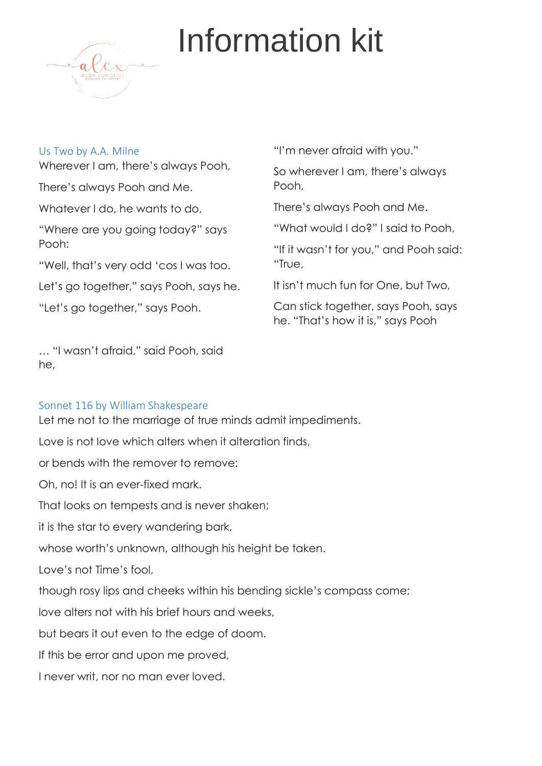

#### <span id="page-4-0"></span>Us Two by A.A. Milne

Wherever I am, there's always Pooh,

There's always Pooh and Me.

Whatever I do, he wants to do,

"Where are you going today?" says Pooh:

"Well, that's very odd 'cos I was too.

Let's go together," says Pooh, says he.

"Let's go together," says Pooh.

… "I wasn't afraid," said Pooh, said he,

### <span id="page-4-1"></span>Sonnet 116 by William Shakespeare

Let me not to the marriage of true minds admit impediments. Love is not love which alters when it alteration finds, or bends with the remover to remove: Oh, no! It is an ever-fixed mark. That looks on tempests and is never shaken; it is the star to every wandering bark, whose worth's unknown, although his height be taken. Love's not Time's fool, though rosy lips and cheeks within his bending sickle's compass come; love alters not with his brief hours and weeks, but bears it out even to the edge of doom. If this be error and upon me proved, I never writ, nor no man ever loved.

"I'm never afraid with you."

So wherever I am, there's always Pooh,

There's always Pooh and Me.

"What would I do?" I said to Pooh,

"If it wasn't for you," and Pooh said: "True,

It isn't much fun for One, but Two,

Can stick together, says Pooh, says he. "That's how it is," says Pooh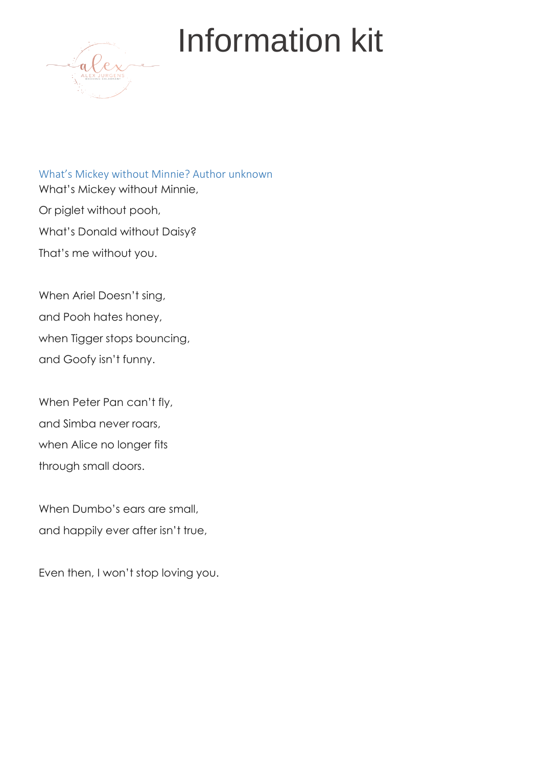

<span id="page-5-0"></span>What's Mickey without Minnie? Author unknown What's Mickey without Minnie, Or piglet without pooh, What's Donald without Daisy? That's me without you.

When Ariel Doesn't sing, and Pooh hates honey, when Tigger stops bouncing, and Goofy isn't funny.

When Peter Pan can't fly, and Simba never roars, when Alice no longer fits through small doors.

When Dumbo's ears are small, and happily ever after isn't true,

Even then, I won't stop loving you.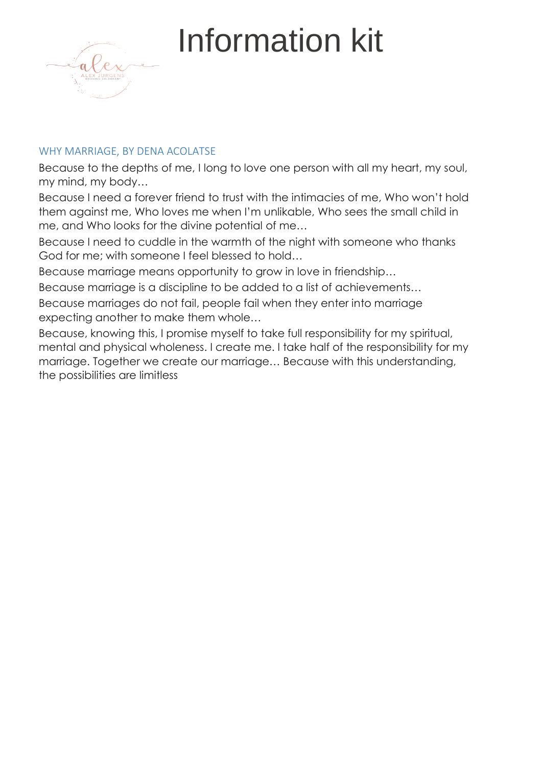

#### WHY MARRIAGE, BY DENA ACOLATSE

Because to the depths of me, I long to love one person with all my heart, my soul, my mind, my body…

Because I need a forever friend to trust with the intimacies of me, Who won't hold them against me, Who loves me when I'm unlikable, Who sees the small child in me, and Who looks for the divine potential of me…

Because I need to cuddle in the warmth of the night with someone who thanks God for me; with someone I feel blessed to hold…

Because marriage means opportunity to grow in love in friendship…

Because marriage is a discipline to be added to a list of achievements…

Because marriages do not fail, people fail when they enter into marriage expecting another to make them whole…

Because, knowing this, I promise myself to take full responsibility for my spiritual, mental and physical wholeness. I create me. I take half of the responsibility for my marriage. Together we create our marriage… Because with this understanding, the possibilities are limitless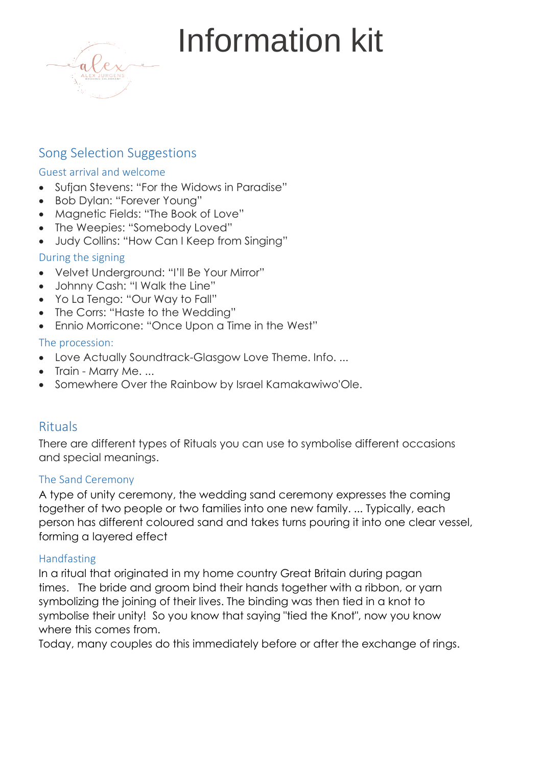

## <span id="page-7-0"></span>Song Selection Suggestions

### <span id="page-7-1"></span>Guest arrival and welcome

- Sufjan Stevens: ["For the Widows in Paradise"](https://www.youtube.com/watch?v=d4tkiGvV_ek)
- Bob Dylan: ["Forever Young"](https://www.youtube.com/watch?v=P1fSVbBwVX8)
- Magnetic Fields: ["The Book of Love"](https://www.youtube.com/watch?v=jkjXr9SrzQE)
- The Weepies: ["Somebody Loved"](https://www.youtube.com/watch?v=ZQCWPcYD5nQ)
- Judy Collins: ["How Can I Keep](https://www.youtube.com/watch?v=nxi4SDc48og) from Singing"

### <span id="page-7-2"></span>During the signing

- Velvet Underground: ["I'll Be Your Mirror"](https://www.youtube.com/watch?v=dMeZCPbM6bA)
- Johnny Cash: ["I Walk the Line"](https://www.youtube.com/watch?v=xObSJWIWui0)
- Yo La Tengo: ["Our Way to Fall"](https://www.youtube.com/watch?v=IOmsaR7ggTE)
- The Corrs: ["Haste to the Wedding"](https://www.youtube.com/watch?v=g0-gmTOcmNw)
- Ennio Morricone: ["Once Upon a](https://www.youtube.com/watch?v=2s0-wbXC3pQ) Time in the West"

### <span id="page-7-3"></span>The procession:

- Love Actually Soundtrack-Glasgow Love Theme. Info. ...
- Train Marry Me. ...
- Somewhere Over the Rainbow by Israel Kamakawiwo'Ole.

### <span id="page-7-4"></span>Rituals

There are different types of Rituals you can use to symbolise different occasions and special meanings.

#### <span id="page-7-5"></span>[The Sand Ceremony](https://www.thespruce.com/wedding-sand-ceremony-3490176)

A type of unity ceremony, the wedding sand ceremony expresses the coming together of two people or two families into one new family. ... Typically, each person has different coloured sand and takes turns pouring it into one clear vessel, forming a layered effect

### <span id="page-7-6"></span>Handfasting

In a ritual that originated in my home country Great Britain during pagan times. The bride and groom bind their hands together with a ribbon, or yarn symbolizing the joining of their lives. The binding was then tied in a knot to symbolise their unity! So you know that saying "tied the Knot", now you know where this comes from.

Today, many couples do this immediately before or after the exchange of rings.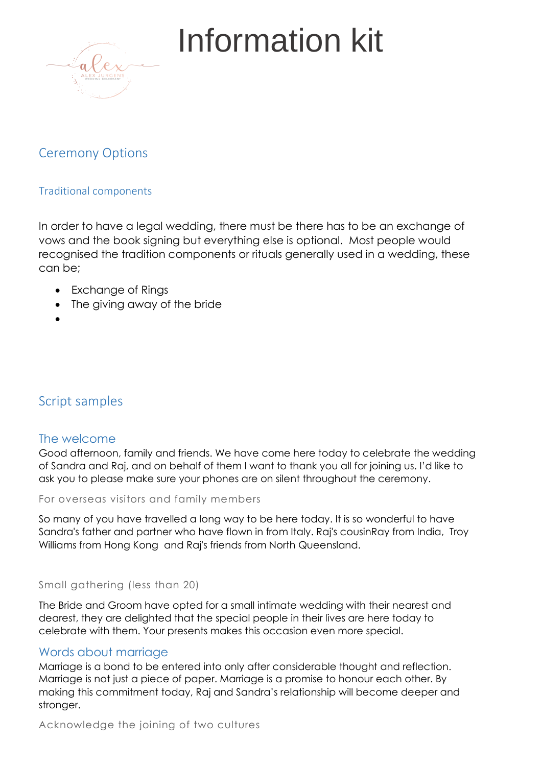

## Ceremony Options

### Traditional components

In order to have a legal wedding, there must be there has to be an exchange of vows and the book signing but everything else is optional. Most people would recognised the tradition components or rituals generally used in a wedding, these can be;

- Exchange of Rings
- The giving away of the bride
- •

## Script samples

### The welcome

Good afternoon, family and friends. We have come here today to celebrate the wedding of Sandra and Raj, and on behalf of them I want to thank you all for joining us. I'd like to ask you to please make sure your phones are on silent throughout the ceremony.

#### For overseas visitors and family members

So many of you have travelled a long way to be here today. It is so wonderful to have Sandra's father and partner who have flown in from Italy. Raj's cousinRay from India, Troy Williams from Hong Kong and Raj's friends from North Queensland.

#### Small gathering (less than 20)

The Bride and Groom have opted for a small intimate wedding with their nearest and dearest, they are delighted that the special people in their lives are here today to celebrate with them. Your presents makes this occasion even more special.

### Words about marriage

Marriage is a bond to be entered into only after considerable thought and reflection. Marriage is not just a piece of paper. Marriage is a promise to honour each other. By making this commitment today, Raj and Sandra's relationship will become deeper and stronger.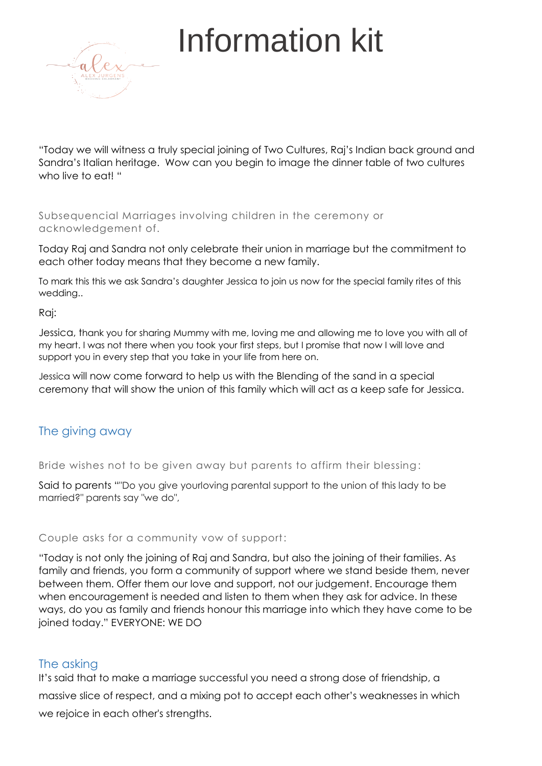

"Today we will witness a truly special joining of Two Cultures, Raj's Indian back ground and Sandra's Italian heritage. Wow can you begin to image the dinner table of two cultures who live to eat! "

Subsequencial Marriages involving children in the ceremony or acknowledgement of.

Today Raj and Sandra not only celebrate their union in marriage but the commitment to each other today means that they become a new family.

To mark this this we ask Sandra's daughter Jessica to join us now for the special family rites of this wedding..

Raj:

Jessica, thank you for sharing Mummy with me, loving me and allowing me to love you with all of my heart. I was not there when you took your first steps, but I promise that now I will love and support you in every step that you take in your life from here on.

Jessica will now come forward to help us with the Blending of the sand in a special ceremony that will show the union of this family which will act as a keep safe for Jessica.

### The giving away

Bride wishes not to be given away but parents to affirm their blessing:

Said to parents ""Do you give yourloving parental support to the union of this lady to be married?" parents say "we do",

#### Couple asks for a community vow of support:

"Today is not only the joining of Raj and Sandra, but also the joining of their families. As family and friends, you form a community of support where we stand beside them, never between them. Offer them our love and support, not our judgement. Encourage them when encouragement is needed and listen to them when they ask for advice. In these ways, do you as family and friends honour this marriage into which they have come to be joined today." EVERYONE: WE DO

#### The asking

It's said that to make a marriage successful you need a strong dose of friendship, a massive slice of respect, and a mixing pot to accept each other's weaknesses in which we rejoice in each other's strengths.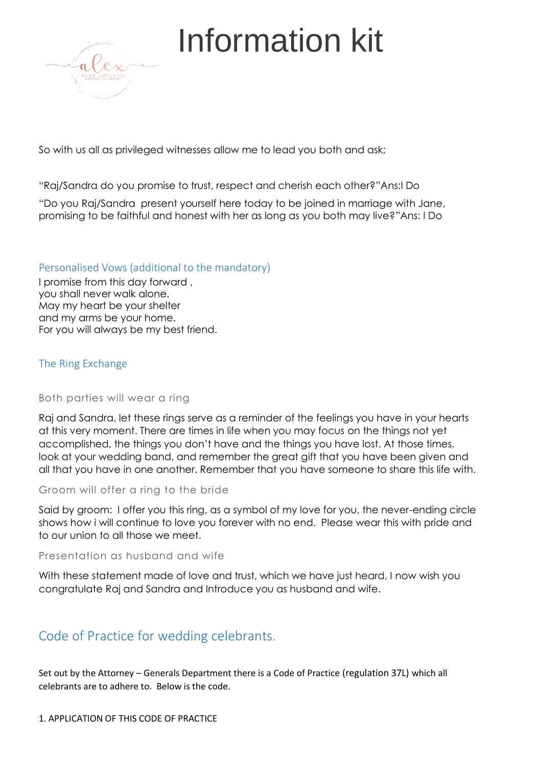

So with us all as privileged witnesses allow me to lead you both and ask;

"Raj/Sandra do you promise to trust, respect and cherish each other?"Ans:I Do

"Do you Raj/Sandra present yourself here today to be joined in marriage with Jane, promising to be faithful and honest with her as long as you both may live?"Ans: I Do

#### Personalised Vows (additional to the mandatory)

I promise from this day forward , you shall never walk alone. May my heart be your shelter and my arms be your home. For you will always be my best friend.

#### The Ring Exchange

#### Both parties will wear a ring

Raj and Sandra, let these rings serve as a reminder of the feelings you have in your hearts at this very moment. There are times in life when you may focus on the things not yet accomplished, the things you don't have and the things you have lost. At those times, look at your wedding band, and remember the great gift that you have been given and all that you have in one another. Remember that you have someone to share this life with.

#### Groom will offer a ring to the bride

Said by groom: I offer you this ring, as a symbol of my love for you, the never-ending circle shows how i will continue to love you forever with no end. Please wear this with pride and to our union to all those we meet.

#### Presentation as husband and wife

With these statement made of love and trust, which we have just heard, I now wish you congratulate Raj and Sandra and Introduce you as husband and wife.

### Code of Practice for wedding celebrants.

Set out by the Attorney – Generals Department there is a Code of Practice (regulation 37L) which all celebrants are to adhere to. Below is the code.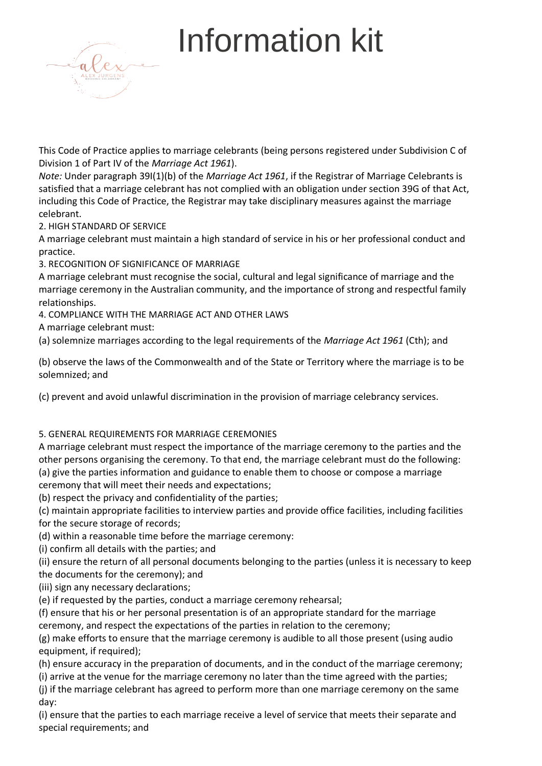

This Code of Practice applies to marriage celebrants (being persons registered under Subdivision C of Division 1 of Part IV of the *Marriage Act 1961*).

*Note:* Under paragraph 39I(1)(b) of the *Marriage Act 1961*, if the Registrar of Marriage Celebrants is satisfied that a marriage celebrant has not complied with an obligation under section 39G of that Act, including this Code of Practice, the Registrar may take disciplinary measures against the marriage celebrant.

2. HIGH STANDARD OF SERVICE

A marriage celebrant must maintain a high standard of service in his or her professional conduct and practice.

3. RECOGNITION OF SIGNIFICANCE OF MARRIAGE

A marriage celebrant must recognise the social, cultural and legal significance of marriage and the marriage ceremony in the Australian community, and the importance of strong and respectful family relationships.

4. COMPLIANCE WITH THE MARRIAGE ACT AND OTHER LAWS

A marriage celebrant must:

(a) solemnize marriages according to the legal requirements of the *Marriage Act 1961* (Cth); and

(b) observe the laws of the Commonwealth and of the State or Territory where the marriage is to be solemnized; and

(c) prevent and avoid unlawful discrimination in the provision of marriage celebrancy services.

#### 5. GENERAL REQUIREMENTS FOR MARRIAGE CEREMONIES

A marriage celebrant must respect the importance of the marriage ceremony to the parties and the other persons organising the ceremony. To that end, the marriage celebrant must do the following: (a) give the parties information and guidance to enable them to choose or compose a marriage ceremony that will meet their needs and expectations;

(b) respect the privacy and confidentiality of the parties;

(c) maintain appropriate facilities to interview parties and provide office facilities, including facilities

for the secure storage of records;

(d) within a reasonable time before the marriage ceremony:

(i) confirm all details with the parties; and

(ii) ensure the return of all personal documents belonging to the parties (unless it is necessary to keep the documents for the ceremony); and

(iii) sign any necessary declarations;

(e) if requested by the parties, conduct a marriage ceremony rehearsal;

(f) ensure that his or her personal presentation is of an appropriate standard for the marriage ceremony, and respect the expectations of the parties in relation to the ceremony;

(g) make efforts to ensure that the marriage ceremony is audible to all those present (using audio equipment, if required);

(h) ensure accuracy in the preparation of documents, and in the conduct of the marriage ceremony;

(i) arrive at the venue for the marriage ceremony no later than the time agreed with the parties;

(j) if the marriage celebrant has agreed to perform more than one marriage ceremony on the same day:

(i) ensure that the parties to each marriage receive a level of service that meets their separate and special requirements; and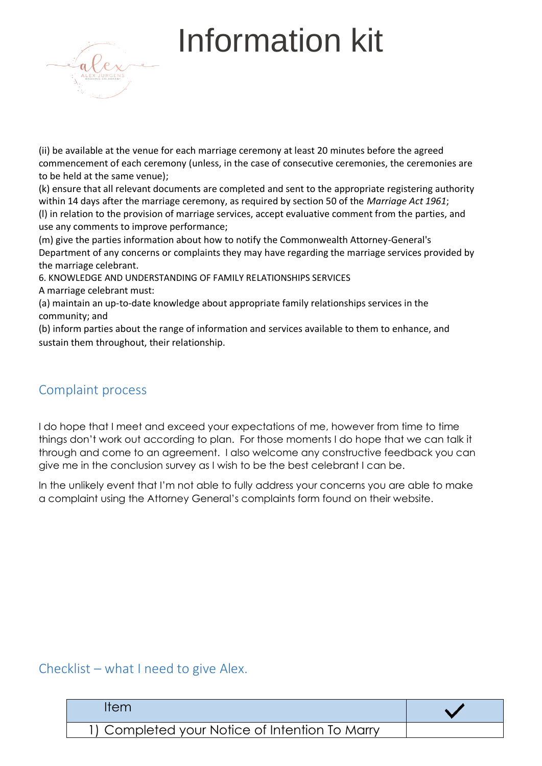

(ii) be available at the venue for each marriage ceremony at least 20 minutes before the agreed commencement of each ceremony (unless, in the case of consecutive ceremonies, the ceremonies are to be held at the same venue);

(k) ensure that all relevant documents are completed and sent to the appropriate registering authority within 14 days after the marriage ceremony, as required by section 50 of the *Marriage Act 1961*; (l) in relation to the provision of marriage services, accept evaluative comment from the parties, and use any comments to improve performance;

(m) give the parties information about how to notify the Commonwealth Attorney-General's Department of any concerns or complaints they may have regarding the marriage services provided by the marriage celebrant.

6. KNOWLEDGE AND UNDERSTANDING OF FAMILY RELATIONSHIPS SERVICES

A marriage celebrant must:

(a) maintain an up-to-date knowledge about appropriate family relationships services in the community; and

(b) inform parties about the range of information and services available to them to enhance, and sustain them throughout, their relationship.

## Complaint process

I do hope that I meet and exceed your expectations of me, however from time to time things don't work out according to plan. For those moments I do hope that we can talk it through and come to an agreement. I also welcome any constructive feedback you can give me in the conclusion survey as I wish to be the best celebrant I can be.

In the unlikely event that I'm not able to fully address your concerns you are able to make a complaint using the Attorney General's complaints form found on their website.

Checklist – what I need to give Alex.

| tem                                            |  |
|------------------------------------------------|--|
| 1) Completed your Notice of Intention To Marry |  |